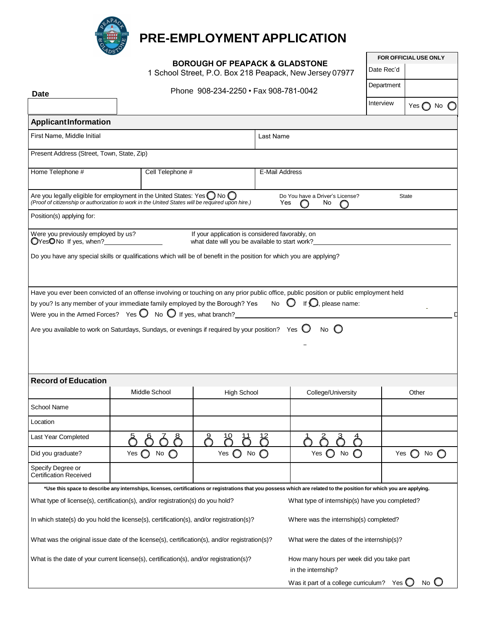

## **PRE-EMPLOYMENT APPLICATION**

**BOROUGH OF PEAPACK & GLADSTONE**  1 School Street, P.O. Box 218 Peapack, New Jersey 07977 **FOR OFFICIAL USE ONLY**

|                                                                                        |                                                                                                                                                                                              | <b>DONOUGH OF FLAFACK &amp; GLADSTONL</b><br>1 School Street, P.O. Box 218 Peapack, New Jersey 07977 |                                                                                                                                                                                                                                                                             | Date Rec'd |                              |
|----------------------------------------------------------------------------------------|----------------------------------------------------------------------------------------------------------------------------------------------------------------------------------------------|------------------------------------------------------------------------------------------------------|-----------------------------------------------------------------------------------------------------------------------------------------------------------------------------------------------------------------------------------------------------------------------------|------------|------------------------------|
|                                                                                        |                                                                                                                                                                                              | Phone 908-234-2250 • Fax 908-781-0042                                                                |                                                                                                                                                                                                                                                                             | Department |                              |
| <b>Date</b>                                                                            |                                                                                                                                                                                              |                                                                                                      |                                                                                                                                                                                                                                                                             | Interview  | Yes $\bigcirc$ No $\bigcirc$ |
|                                                                                        |                                                                                                                                                                                              |                                                                                                      |                                                                                                                                                                                                                                                                             |            |                              |
| ApplicantInformation                                                                   |                                                                                                                                                                                              |                                                                                                      |                                                                                                                                                                                                                                                                             |            |                              |
| First Name, Middle Initial                                                             |                                                                                                                                                                                              |                                                                                                      | Last Name                                                                                                                                                                                                                                                                   |            |                              |
| Present Address (Street, Town, State, Zip)                                             |                                                                                                                                                                                              |                                                                                                      |                                                                                                                                                                                                                                                                             |            |                              |
| Home Telephone #                                                                       | Cell Telephone #                                                                                                                                                                             |                                                                                                      | E-Mail Address                                                                                                                                                                                                                                                              |            |                              |
|                                                                                        |                                                                                                                                                                                              |                                                                                                      |                                                                                                                                                                                                                                                                             |            |                              |
|                                                                                        | Are you legally eligible for employment in the United States: Yes $\bigcirc$ No $\bigcirc$ / Proof of citizenship or authorization to work in the United States will be required upon hire.) |                                                                                                      | Do You have a Driver's License?<br>Yes<br>$\circ$<br>No<br>$\bigcirc$                                                                                                                                                                                                       |            | State                        |
| Position(s) applying for:                                                              |                                                                                                                                                                                              |                                                                                                      |                                                                                                                                                                                                                                                                             |            |                              |
| Were you previously employed by us?                                                    |                                                                                                                                                                                              | If your application is considered favorably, on                                                      |                                                                                                                                                                                                                                                                             |            |                              |
| OYesONo If yes, when?                                                                  |                                                                                                                                                                                              | what date will you be available to start work?                                                       |                                                                                                                                                                                                                                                                             |            |                              |
|                                                                                        | Do you have any special skills or qualifications which will be of benefit in the position for which you are applying?                                                                        |                                                                                                      |                                                                                                                                                                                                                                                                             |            |                              |
|                                                                                        |                                                                                                                                                                                              |                                                                                                      |                                                                                                                                                                                                                                                                             |            |                              |
|                                                                                        |                                                                                                                                                                                              |                                                                                                      |                                                                                                                                                                                                                                                                             |            |                              |
|                                                                                        |                                                                                                                                                                                              |                                                                                                      | Have you ever been convicted of an offense involving or touching on any prior public office, public position or public employment held<br>by you? Is any member of your immediate family employed by the Borough? Yes $\bigcirc$ No $\bigcirc$ If $\bigcirc$ , please name: |            |                              |
|                                                                                        | Were you in the Armed Forces? Yes $\bigcirc$ No $\bigcirc$ If yes, what branch?                                                                                                              |                                                                                                      |                                                                                                                                                                                                                                                                             |            |                              |
|                                                                                        | Are you available to work on Saturdays, Sundays, or evenings if required by your position? Yes $\bigcirc$ No $\bigcirc$                                                                      |                                                                                                      |                                                                                                                                                                                                                                                                             |            |                              |
|                                                                                        |                                                                                                                                                                                              |                                                                                                      |                                                                                                                                                                                                                                                                             |            |                              |
|                                                                                        |                                                                                                                                                                                              |                                                                                                      |                                                                                                                                                                                                                                                                             |            |                              |
|                                                                                        |                                                                                                                                                                                              |                                                                                                      |                                                                                                                                                                                                                                                                             |            |                              |
| <b>Record of Education</b>                                                             |                                                                                                                                                                                              |                                                                                                      |                                                                                                                                                                                                                                                                             |            |                              |
|                                                                                        | Middle School                                                                                                                                                                                | <b>High School</b>                                                                                   | College/University                                                                                                                                                                                                                                                          |            | Other                        |
| School Name                                                                            |                                                                                                                                                                                              |                                                                                                      |                                                                                                                                                                                                                                                                             |            |                              |
| Location                                                                               |                                                                                                                                                                                              |                                                                                                      |                                                                                                                                                                                                                                                                             |            |                              |
| Last Year Completed                                                                    |                                                                                                                                                                                              |                                                                                                      |                                                                                                                                                                                                                                                                             |            |                              |
|                                                                                        | රි<br><u>ර ර්</u><br>ර්                                                                                                                                                                      | $\mathcal{B}$<br>К<br>$\cap$                                                                         | $\hat{\wedge}$<br>$\delta$<br>$\triangle$<br>$\cap$                                                                                                                                                                                                                         |            |                              |
| Did you graduate?                                                                      | Yes $\bigcirc$ No $\bigcirc$                                                                                                                                                                 | Yes $\bigcirc$ No $\bigcirc$                                                                         | Yes $\bigcirc$ No $\bigcirc$                                                                                                                                                                                                                                                |            | Yes $\bigcirc$ No $\bigcirc$ |
| Specify Degree or<br>Certification Received                                            |                                                                                                                                                                                              |                                                                                                      |                                                                                                                                                                                                                                                                             |            |                              |
|                                                                                        |                                                                                                                                                                                              |                                                                                                      | *Use this space to describe any internships, licenses, certifications or registrations that you possess which are related to the position for which you are applying.                                                                                                       |            |                              |
|                                                                                        | What type of license(s), certification(s), and/or registration(s) do you hold?                                                                                                               |                                                                                                      | What type of internship(s) have you completed?                                                                                                                                                                                                                              |            |                              |
|                                                                                        |                                                                                                                                                                                              |                                                                                                      |                                                                                                                                                                                                                                                                             |            |                              |
|                                                                                        | In which state(s) do you hold the license(s), certification(s), and/or registration(s)?                                                                                                      |                                                                                                      | Where was the internship(s) completed?                                                                                                                                                                                                                                      |            |                              |
|                                                                                        | What was the original issue date of the license(s), certification(s), and/or registration(s)?                                                                                                |                                                                                                      | What were the dates of the internship(s)?                                                                                                                                                                                                                                   |            |                              |
| What is the date of your current license(s), certification(s), and/or registration(s)? |                                                                                                                                                                                              |                                                                                                      | How many hours per week did you take part                                                                                                                                                                                                                                   |            |                              |
|                                                                                        |                                                                                                                                                                                              |                                                                                                      | in the internship?<br>Was it part of a college curriculum? Yes $\bigcirc$ No $\bigcirc$                                                                                                                                                                                     |            |                              |
|                                                                                        |                                                                                                                                                                                              |                                                                                                      |                                                                                                                                                                                                                                                                             |            |                              |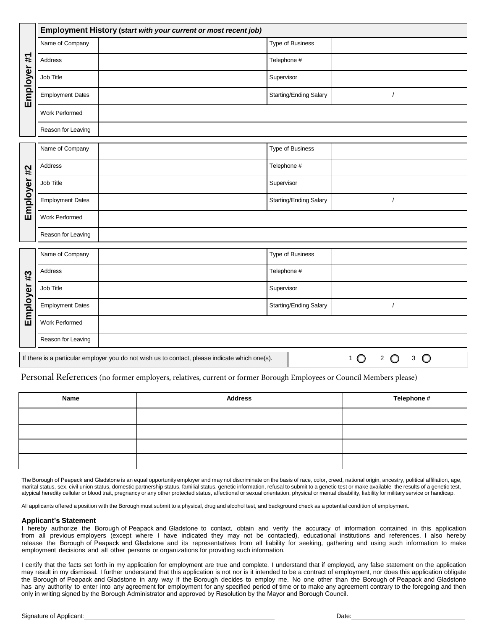|             | Employment History (start with your current or most recent job)                                                                                                              |  |                        |            |  |  |  |  |
|-------------|------------------------------------------------------------------------------------------------------------------------------------------------------------------------------|--|------------------------|------------|--|--|--|--|
| Employer #1 | Name of Company                                                                                                                                                              |  | Type of Business       |            |  |  |  |  |
|             | Address                                                                                                                                                                      |  | Telephone #            |            |  |  |  |  |
|             | Job Title                                                                                                                                                                    |  | Supervisor             |            |  |  |  |  |
|             | <b>Employment Dates</b>                                                                                                                                                      |  | Starting/Ending Salary | $\sqrt{2}$ |  |  |  |  |
|             | Work Performed                                                                                                                                                               |  |                        |            |  |  |  |  |
|             | Reason for Leaving                                                                                                                                                           |  |                        |            |  |  |  |  |
| Employer #2 | Name of Company                                                                                                                                                              |  | Type of Business       |            |  |  |  |  |
|             | Address                                                                                                                                                                      |  | Telephone #            |            |  |  |  |  |
|             | Job Title                                                                                                                                                                    |  | Supervisor             |            |  |  |  |  |
|             | <b>Employment Dates</b>                                                                                                                                                      |  | Starting/Ending Salary | $\prime$   |  |  |  |  |
|             | Work Performed                                                                                                                                                               |  |                        |            |  |  |  |  |
|             | Reason for Leaving                                                                                                                                                           |  |                        |            |  |  |  |  |
| Employer #3 | Name of Company                                                                                                                                                              |  | Type of Business       |            |  |  |  |  |
|             | Address                                                                                                                                                                      |  | Telephone #            |            |  |  |  |  |
|             | Job Title                                                                                                                                                                    |  | Supervisor             |            |  |  |  |  |
|             | <b>Employment Dates</b>                                                                                                                                                      |  | Starting/Ending Salary | $\sqrt{ }$ |  |  |  |  |
|             | Work Performed                                                                                                                                                               |  |                        |            |  |  |  |  |
|             | Reason for Leaving                                                                                                                                                           |  |                        |            |  |  |  |  |
|             | $\bigcirc$<br>$\bigcirc$<br>$\circ$<br>If there is a particular employer you do not wish us to contact, please indicate which one(s).<br>$\overline{2}$<br>3<br>$\mathbf{1}$ |  |                        |            |  |  |  |  |

Personal References (no former employers, relatives, current or former Borough Employees or Council Members please)

| Name | <b>Address</b> | Telephone # |
|------|----------------|-------------|
|      |                |             |
|      |                |             |
|      |                |             |
|      |                |             |

The Borough of Peapack and Gladstone is an equal opportunity employer and may not discriminate on the basis of race, color, creed, national origin, ancestry, political affiliation, age, marital status, sex, civil union status, domestic partnership status, familial status, genetic information, refusal to submit to a genetic test or make available the results of a genetic test, atypical heredity cellular or blood trait, pregnancy or any other protected status, affectional or sexual orientation, physical or mental disability, liability for military service or handicap.

All applicants offered a position with the Borough must submit to a physical, drug and alcohol test, and background check as a potential condition of employment.

## **Applicant's Statement**

I hereby authorize the Borough of Peapack and Gladstone to contact, obtain and verify the accuracy of information contained in this application from all previous employers (except where I have indicated they may not be contacted), educational institutions and references. I also hereby release the Borough of Peapack and Gladstone and its representatives from all liability for seeking, gathering and using such information to make employment decisions and all other persons or organizations for providing such information.

I certify that the facts set forth in my application for employment are true and complete. I understand that if employed, any false statement on the application may result in my dismissal. I further understand that this application is not nor is it intended to be a contract of employment, nor does this application obligate the Borough of Peapack and Gladstone in any way if the Borough decides to employ me. No one other than the Borough of Peapack and Gladstone has any authority to enter into any agreement for employment for any specified period of time or to make any agreement contrary to the foregoing and then only in writing signed by the Borough Administrator and approved by Resolution by the Mayor and Borough Council.